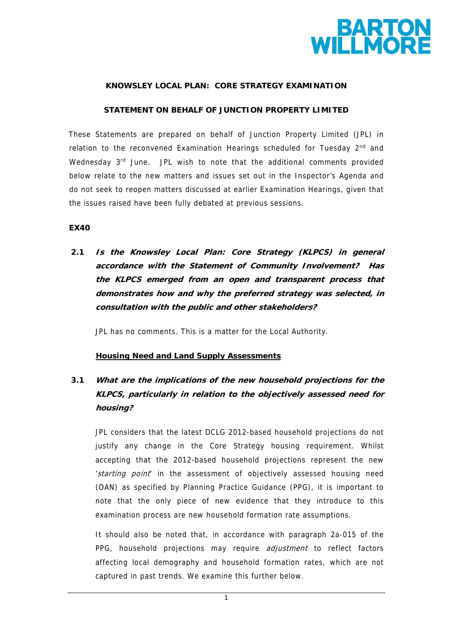

#### **KNOWSLEY LOCAL PLAN: CORE STRATEGY EXAMINATION**

#### **STATEMENT ON BEHALF OF JUNCTION PROPERTY LIMITED**

These Statements are prepared on behalf of Junction Property Limited (JPL) in relation to the reconvened Examination Hearings scheduled for Tuesday 2<sup>nd</sup> and Wednesday 3<sup>rd</sup> June. JPL wish to note that the additional comments provided below relate to the new matters and issues set out in the Inspector's Agenda and do not seek to reopen matters discussed at earlier Examination Hearings, given that the issues raised have been fully debated at previous sessions.

#### **EX40**

 **2.1 Is the Knowsley Local Plan: Core Strategy (KLPCS) in general accordance with the Statement of Community Involvement? Has the KLPCS emerged from an open and transparent process that demonstrates how and why the preferred strategy was selected, in consultation with the public and other stakeholders?** 

JPL has no comments. This is a matter for the Local Authority.

### **Housing Need and Land Supply Assessments**

# **3.1 What are the implications of the new household projections for the KLPCS, particularly in relation to the objectively assessed need for housing?**

JPL considers that the latest DCLG 2012-based household projections do not justify any change in the Core Strategy housing requirement. Whilst accepting that the 2012-based household projections represent the new 'starting point' in the assessment of objectively assessed housing need (OAN) as specified by Planning Practice Guidance (PPG), it is important to note that the only piece of new evidence that they introduce to this examination process are new household formation rate assumptions.

It should also be noted that, in accordance with paragraph 2a-015 of the PPG, household projections may require *adjustment* to reflect factors affecting local demography and household formation rates, which are not captured in past trends. We examine this further below.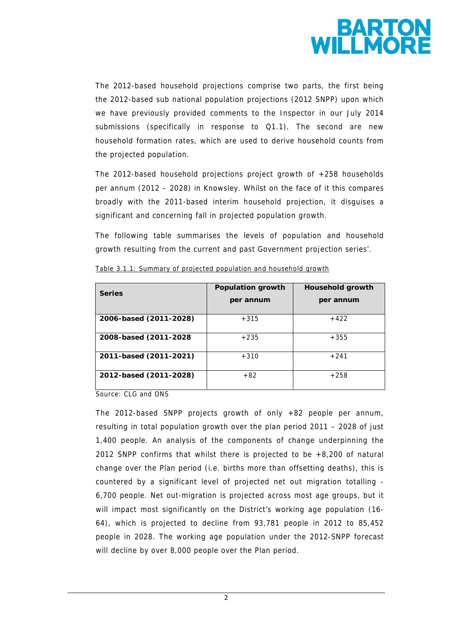

The 2012-based household projections comprise two parts, the first being the 2012-based sub national population projections (2012 SNPP) upon which we have previously provided comments to the Inspector in our July 2014 submissions (specifically in response to Q1.1). The second are new household formation rates, which are used to derive household counts from the projected population.

The 2012-based household projections project growth of +258 households per annum (2012 – 2028) in Knowsley. Whilst on the face of it this compares broadly with the 2011-based interim household projection, it disguises a significant and concerning fall in projected population growth.

The following table summarises the levels of population and household growth resulting from the current and past Government projection series'.

| <b>Series</b>          | Population growth<br>per annum | <b>Household growth</b><br>per annum |
|------------------------|--------------------------------|--------------------------------------|
| 2006-based (2011-2028) | $+315$                         | $+422$                               |
| 2008-based (2011-2028) | $+235$                         | $+355$                               |
| 2011-based (2011-2021) | $+310$                         | $+241$                               |
| 2012-based (2011-2028) | $+82$                          | $+258$                               |

Table 3.1.1: Summary of projected population and household growth

Source: CLG and ONS

The 2012-based SNPP projects growth of only +82 people per annum, resulting in total population growth over the plan period 2011 – 2028 of just 1,400 people. An analysis of the components of change underpinning the 2012 SNPP confirms that whilst there is projected to be +8,200 of natural change over the Plan period (i.e. births more than offsetting deaths), this is countered by a significant level of projected net out migration totalling - 6,700 people. Net out-migration is projected across most age groups, but it will impact most significantly on the District's working age population (16- 64), which is projected to decline from 93,781 people in 2012 to 85,452 people in 2028. The working age population under the 2012-SNPP forecast will decline by over 8,000 people over the Plan period.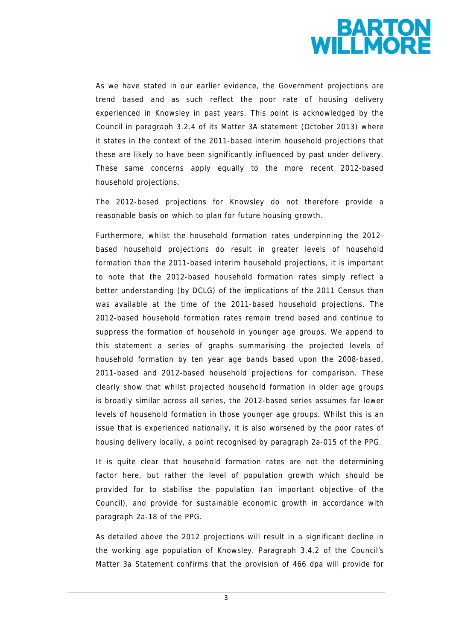

As we have stated in our earlier evidence, the Government projections are trend based and as such reflect the poor rate of housing delivery experienced in Knowsley in past years. This point is acknowledged by the Council in paragraph 3.2.4 of its Matter 3A statement (October 2013) where it states in the context of the 2011-based interim household projections that these are likely to have been significantly influenced by past under delivery. These same concerns apply equally to the more recent 2012-based household projections.

The 2012-based projections for Knowsley do not therefore provide a reasonable basis on which to plan for future housing growth.

Furthermore, whilst the household formation rates underpinning the 2012 based household projections do result in greater levels of household formation than the 2011-based interim household projections, it is important to note that the 2012-based household formation rates simply reflect a better understanding (by DCLG) of the implications of the 2011 Census than was available at the time of the 2011-based household projections. The 2012-based household formation rates remain trend based and continue to suppress the formation of household in younger age groups. We append to this statement a series of graphs summarising the projected levels of household formation by ten year age bands based upon the 2008-based, 2011-based and 2012-based household projections for comparison. These clearly show that whilst projected household formation in older age groups is broadly similar across all series, the 2012-based series assumes far lower levels of household formation in those younger age groups. Whilst this is an issue that is experienced nationally, it is also worsened by the poor rates of housing delivery locally, a point recognised by paragraph 2a-015 of the PPG.

It is quite clear that household formation rates are not the determining factor here, but rather the level of population growth which should be provided for to stabilise the population (an important objective of the Council), and provide for sustainable economic growth in accordance with paragraph 2a-18 of the PPG.

As detailed above the 2012 projections will result in a significant decline in the working age population of Knowsley. Paragraph 3.4.2 of the Council's Matter 3a Statement confirms that the provision of 466 dpa will provide for

3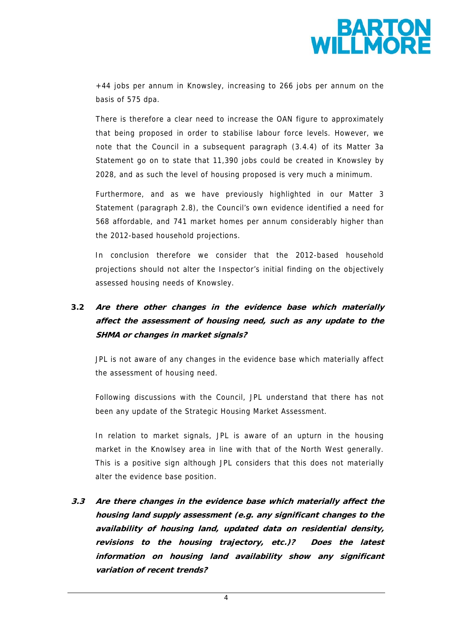

+44 jobs per annum in Knowsley, increasing to 266 jobs per annum on the basis of 575 dpa.

There is therefore a clear need to increase the OAN figure to approximately that being proposed in order to stabilise labour force levels. However, we note that the Council in a subsequent paragraph (3.4.4) of its Matter 3a Statement go on to state that 11,390 jobs could be created in Knowsley by 2028, and as such the level of housing proposed is very much a minimum.

Furthermore, and as we have previously highlighted in our Matter 3 Statement (paragraph 2.8), the Council's own evidence identified a need for 568 affordable, and 741 market homes per annum considerably higher than the 2012-based household projections.

In conclusion therefore we consider that the 2012-based household projections should not alter the Inspector's initial finding on the objectively assessed housing needs of Knowsley.

# **3.2 Are there other changes in the evidence base which materially affect the assessment of housing need, such as any update to the SHMA or changes in market signals?**

JPL is not aware of any changes in the evidence base which materially affect the assessment of housing need.

Following discussions with the Council, JPL understand that there has not been any update of the Strategic Housing Market Assessment.

In relation to market signals, JPL is aware of an upturn in the housing market in the Knowlsey area in line with that of the North West generally. This is a positive sign although JPL considers that this does not materially alter the evidence base position.

 **3.3 Are there changes in the evidence base which materially affect the housing land supply assessment (e.g. any significant changes to the availability of housing land, updated data on residential density, revisions to the housing trajectory, etc.)? Does the latest information on housing land availability show any significant variation of recent trends?** 

4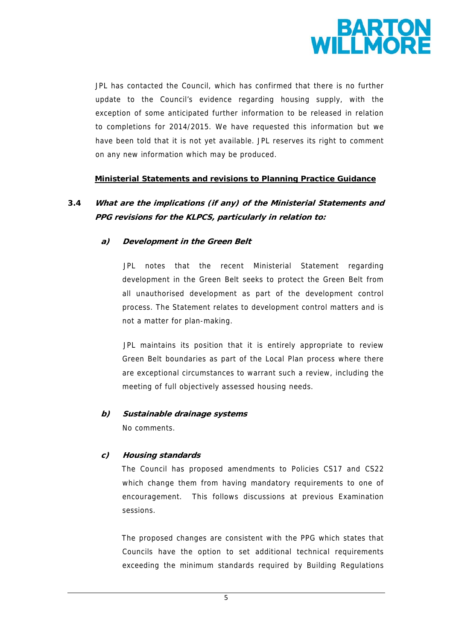

JPL has contacted the Council, which has confirmed that there is no further update to the Council's evidence regarding housing supply, with the exception of some anticipated further information to be released in relation to completions for 2014/2015. We have requested this information but we have been told that it is not yet available. JPL reserves its right to comment on any new information which may be produced.

#### **Ministerial Statements and revisions to Planning Practice Guidance**

# **3.4 What are the implications (if any) of the Ministerial Statements and PPG revisions for the KLPCS, particularly in relation to:**

### **a) Development in the Green Belt**

JPL notes that the recent Ministerial Statement regarding development in the Green Belt seeks to protect the Green Belt from all unauthorised development as part of the development control process. The Statement relates to development control matters and is not a matter for plan-making.

JPL maintains its position that it is entirely appropriate to review Green Belt boundaries as part of the Local Plan process where there are exceptional circumstances to warrant such a review, including the meeting of full objectively assessed housing needs.

### **b) Sustainable drainage systems**

No comments.

### **c) Housing standards**

The Council has proposed amendments to Policies CS17 and CS22 which change them from having mandatory requirements to one of encouragement. This follows discussions at previous Examination sessions.

The proposed changes are consistent with the PPG which states that Councils have the option to set additional technical requirements exceeding the minimum standards required by Building Regulations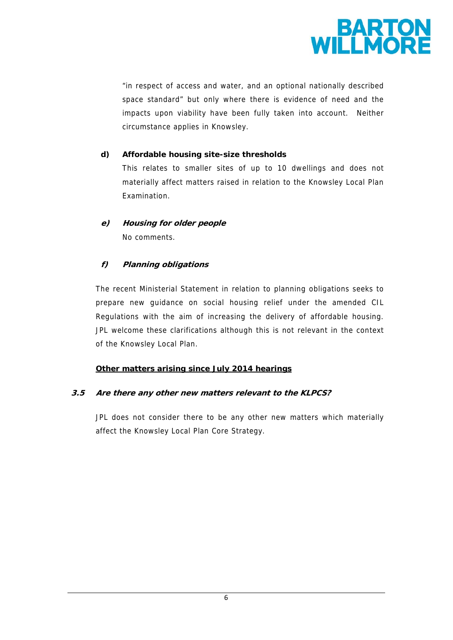

"in respect of access and water, and an optional nationally described space standard" but only where there is evidence of need and the impacts upon viability have been fully taken into account. Neither circumstance applies in Knowsley.

## **d) Affordable housing site-size thresholds**

This relates to smaller sites of up to 10 dwellings and does not materially affect matters raised in relation to the Knowsley Local Plan Examination.

# **e) Housing for older people**  No comments.

## **f) Planning obligations**

The recent Ministerial Statement in relation to planning obligations seeks to prepare new guidance on social housing relief under the amended CIL Regulations with the aim of increasing the delivery of affordable housing. JPL welcome these clarifications although this is not relevant in the context of the Knowsley Local Plan.

### **Other matters arising since July 2014 hearings**

### **3.5 Are there any other new matters relevant to the KLPCS?**

JPL does not consider there to be any other new matters which materially affect the Knowsley Local Plan Core Strategy.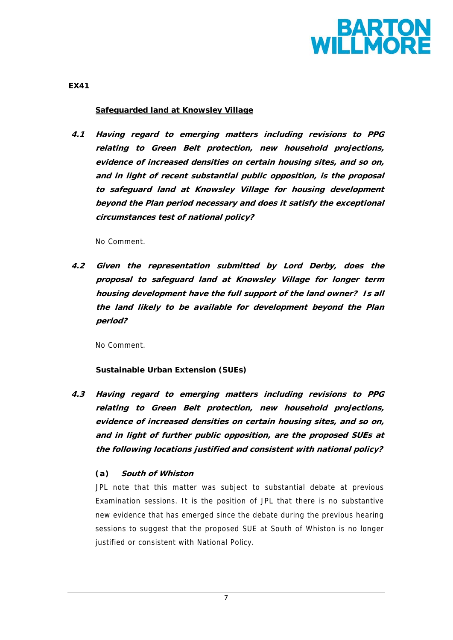

**EX41** 

### **Safeguarded land at Knowsley Village**

**4.1 Having regard to emerging matters including revisions to PPG relating to Green Belt protection, new household projections, evidence of increased densities on certain housing sites, and so on, and in light of recent substantial public opposition, is the proposal to safeguard land at Knowsley Village for housing development beyond the Plan period necessary and does it satisfy the exceptional circumstances test of national policy?** 

No Comment.

 **4.2 Given the representation submitted by Lord Derby, does the proposal to safeguard land at Knowsley Village for longer term housing development have the full support of the land owner? Is all the land likely to be available for development beyond the Plan period?** 

No Comment.

## **Sustainable Urban Extension (SUEs)**

 **4.3 Having regard to emerging matters including revisions to PPG relating to Green Belt protection, new household projections, evidence of increased densities on certain housing sites, and so on, and in light of further public opposition, are the proposed SUEs at the following locations justified and consistent with national policy?** 

## *(a)* **South of Whiston**

JPL note that this matter was subject to substantial debate at previous Examination sessions. It is the position of JPL that there is no substantive new evidence that has emerged since the debate during the previous hearing sessions to suggest that the proposed SUE at South of Whiston is no longer justified or consistent with National Policy.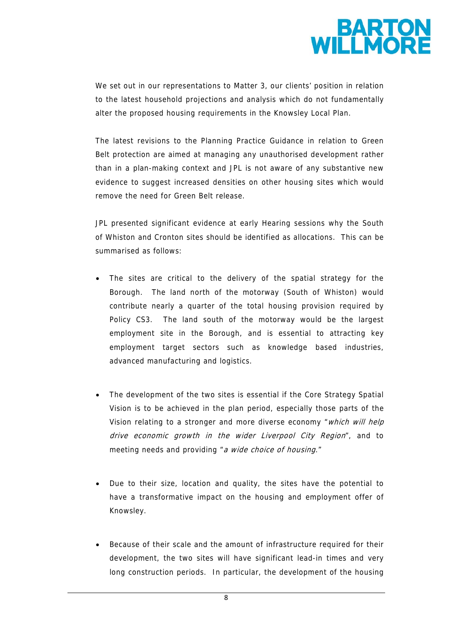

We set out in our representations to Matter 3, our clients' position in relation to the latest household projections and analysis which do not fundamentally alter the proposed housing requirements in the Knowsley Local Plan.

The latest revisions to the Planning Practice Guidance in relation to Green Belt protection are aimed at managing any unauthorised development rather than in a plan-making context and JPL is not aware of any substantive new evidence to suggest increased densities on other housing sites which would remove the need for Green Belt release.

JPL presented significant evidence at early Hearing sessions why the South of Whiston and Cronton sites should be identified as allocations. This can be summarised as follows:

- The sites are critical to the delivery of the spatial strategy for the Borough. The land north of the motorway (South of Whiston) would contribute nearly a quarter of the total housing provision required by Policy CS3. The land south of the motorway would be the largest employment site in the Borough, and is essential to attracting key employment target sectors such as knowledge based industries, advanced manufacturing and logistics.
- The development of the two sites is essential if the Core Strategy Spatial Vision is to be achieved in the plan period, especially those parts of the Vision relating to a stronger and more diverse economy "which will help drive economic growth in the wider Liverpool City Region", and to meeting needs and providing "a wide choice of housing."
- Due to their size, location and quality, the sites have the potential to have a transformative impact on the housing and employment offer of Knowsley.
- Because of their scale and the amount of infrastructure required for their development, the two sites will have significant lead-in times and very long construction periods. In particular, the development of the housing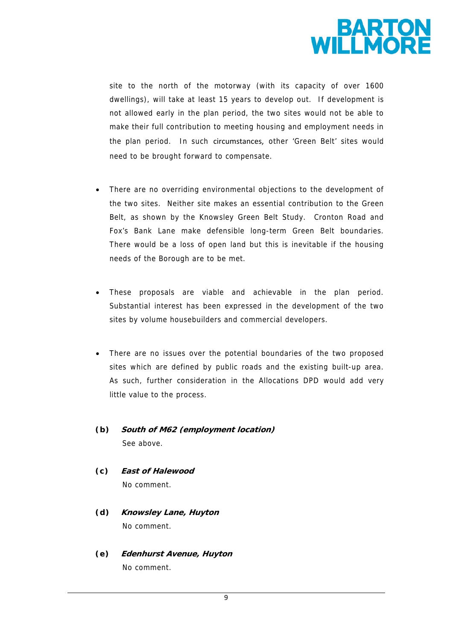

site to the north of the motorway (with its capacity of over 1600 dwellings), will take at least 15 years to develop out. If development is not allowed early in the plan period, the two sites would not be able to make their full contribution to meeting housing and employment needs in the plan period. In such circumstances, other 'Green Belt' sites would need to be brought forward to compensate.

- There are no overriding environmental objections to the development of the two sites. Neither site makes an essential contribution to the Green Belt, as shown by the Knowsley Green Belt Study. Cronton Road and Fox's Bank Lane make defensible long-term Green Belt boundaries. There would be a loss of open land but this is inevitable if the housing needs of the Borough are to be met.
- These proposals are viable and achievable in the plan period. Substantial interest has been expressed in the development of the two sites by volume housebuilders and commercial developers.
- There are no issues over the potential boundaries of the two proposed sites which are defined by public roads and the existing built-up area. As such, further consideration in the Allocations DPD would add very little value to the process.
- *(b)* **South of M62 (employment location)**  See above.
- *(c)* **East of Halewood**  No comment.
- *(d)* **Knowsley Lane, Huyton**  No comment.
- *(e)* **Edenhurst Avenue, Huyton** No comment.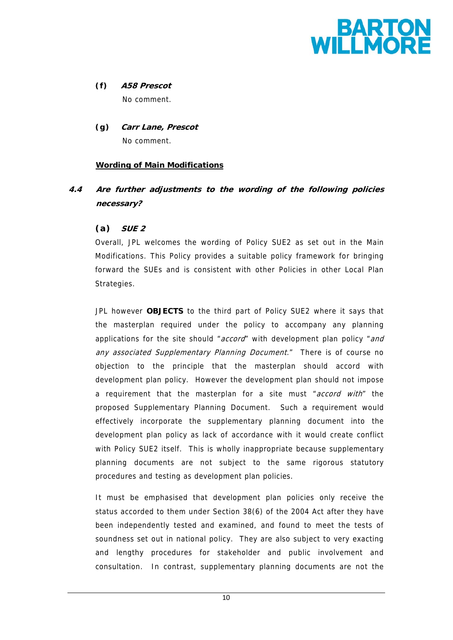

*(f)* **A58 Prescot**  No comment.

*(g)* **Carr Lane, Prescot**  No comment.

## **Wording of Main Modifications**

**4.4 Are further adjustments to the wording of the following policies necessary?** 

## *(a)* **SUE 2**

Overall, JPL welcomes the wording of Policy SUE2 as set out in the Main Modifications. This Policy provides a suitable policy framework for bringing forward the SUEs and is consistent with other Policies in other Local Plan Strategies.

JPL however **OBJECTS** to the third part of Policy SUE2 where it says that the masterplan required under the policy to accompany any planning applications for the site should "accord" with development plan policy "and any associated Supplementary Planning Document." There is of course no objection to the principle that the masterplan should accord with development plan policy. However the development plan should not impose a requirement that the masterplan for a site must "accord with" the proposed Supplementary Planning Document. Such a requirement would effectively incorporate the supplementary planning document into the development plan policy as lack of accordance with it would create conflict with Policy SUE2 itself. This is wholly inappropriate because supplementary planning documents are not subject to the same rigorous statutory procedures and testing as development plan policies.

It must be emphasised that development plan policies only receive the status accorded to them under Section 38(6) of the 2004 Act after they have been independently tested and examined, and found to meet the tests of soundness set out in national policy. They are also subject to very exacting and lengthy procedures for stakeholder and public involvement and consultation. In contrast, supplementary planning documents are not the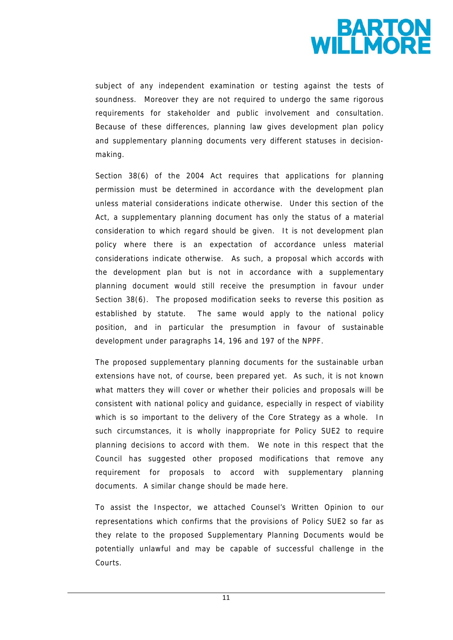

subject of any independent examination or testing against the tests of soundness. Moreover they are not required to undergo the same rigorous requirements for stakeholder and public involvement and consultation. Because of these differences, planning law gives development plan policy and supplementary planning documents very different statuses in decisionmaking.

Section 38(6) of the 2004 Act requires that applications for planning permission must be determined in accordance with the development plan unless material considerations indicate otherwise. Under this section of the Act, a supplementary planning document has only the status of a material consideration to which regard should be given. It is not development plan policy where there is an expectation of accordance unless material considerations indicate otherwise. As such, a proposal which accords with the development plan but is not in accordance with a supplementary planning document would still receive the presumption in favour under Section 38(6). The proposed modification seeks to reverse this position as established by statute. The same would apply to the national policy position, and in particular the presumption in favour of sustainable development under paragraphs 14, 196 and 197 of the NPPF.

The proposed supplementary planning documents for the sustainable urban extensions have not, of course, been prepared yet. As such, it is not known what matters they will cover or whether their policies and proposals will be consistent with national policy and guidance, especially in respect of viability which is so important to the delivery of the Core Strategy as a whole. In such circumstances, it is wholly inappropriate for Policy SUE2 to require planning decisions to accord with them. We note in this respect that the Council has suggested other proposed modifications that remove any requirement for proposals to accord with supplementary planning documents. A similar change should be made here.

To assist the Inspector, we attached Counsel's Written Opinion to our representations which confirms that the provisions of Policy SUE2 so far as they relate to the proposed Supplementary Planning Documents would be potentially unlawful and may be capable of successful challenge in the Courts.